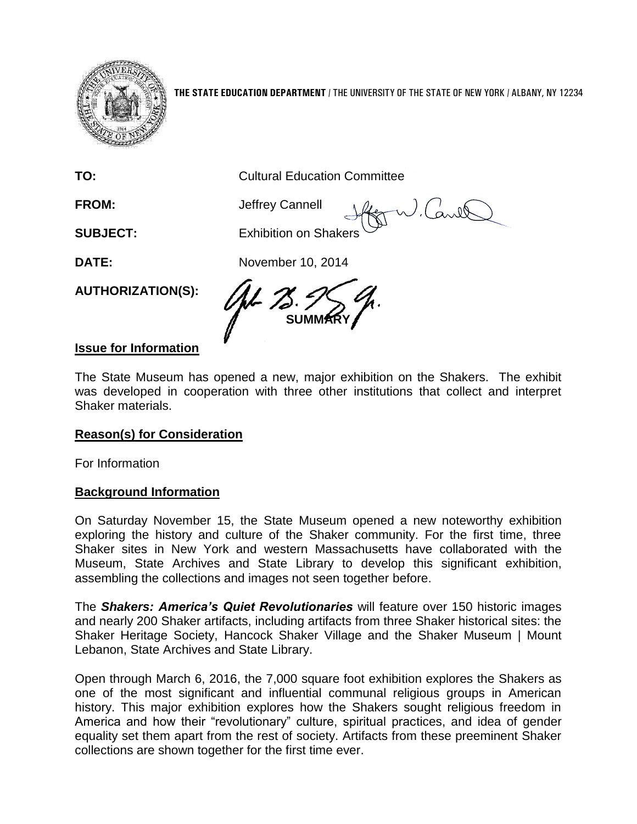

**THE STATE EDUCATION DEPARTMENT** / THE UNIVERSITY OF THE STATE OF NEW YORK / ALBANY, NY 12234

W. Carill

**TO:** Cultural Education Committee

**FROM:** Jeffrey Cannell

**SUBJECT:** Exhibition on Shakers

**DATE:** November 10, 2014

**AUTHORIZATION(S):**

**SUMMARY**

## **Issue for Information**

The State Museum has opened a new, major exhibition on the Shakers. The exhibit was developed in cooperation with three other institutions that collect and interpret Shaker materials.

## **Reason(s) for Consideration**

For Information

## **Background Information**

On Saturday November 15, the State Museum opened a new noteworthy exhibition exploring the history and culture of the Shaker community. For the first time, three Shaker sites in New York and western Massachusetts have collaborated with the Museum, State Archives and State Library to develop this significant exhibition, assembling the collections and images not seen together before.

The *Shakers: America's Quiet Revolutionaries* will feature over 150 historic images and nearly 200 Shaker artifacts, including artifacts from three Shaker historical sites: the Shaker Heritage Society, Hancock Shaker Village and the Shaker Museum | Mount Lebanon, State Archives and State Library.

Open through March 6, 2016, the 7,000 square foot exhibition explores the Shakers as one of the most significant and influential communal religious groups in American history. This major exhibition explores how the Shakers sought religious freedom in America and how their "revolutionary" culture, spiritual practices, and idea of gender equality set them apart from the rest of society. Artifacts from these preeminent Shaker collections are shown together for the first time ever.